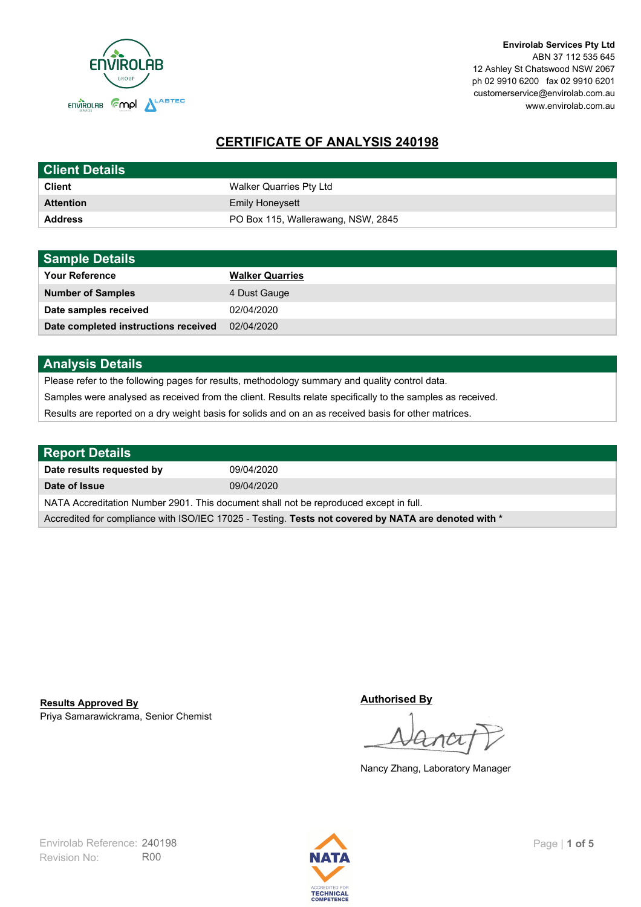

**Envirolab Services Pty Ltd** ABN 37 112 535 645 12 Ashley St Chatswood NSW 2067 ph 02 9910 6200 fax 02 9910 6201 customerservice@envirolab.com.au www.envirolab.com.au

# **CERTIFICATE OF ANALYSIS 240198**

| <b>Client Details</b> |                                    |
|-----------------------|------------------------------------|
| <b>Client</b>         | Walker Quarries Pty Ltd            |
| <b>Attention</b>      | <b>Emily Honeysett</b>             |
| <b>Address</b>        | PO Box 115, Wallerawang, NSW, 2845 |

| <b>Sample Details</b>                |                        |
|--------------------------------------|------------------------|
| <b>Your Reference</b>                | <b>Walker Quarries</b> |
| <b>Number of Samples</b>             | 4 Dust Gauge           |
| Date samples received                | 02/04/2020             |
| Date completed instructions received | 02/04/2020             |

## **Analysis Details**

Please refer to the following pages for results, methodology summary and quality control data.

Samples were analysed as received from the client. Results relate specifically to the samples as received.

Results are reported on a dry weight basis for solids and on an as received basis for other matrices.

| <b>Report Details</b>                                                                                |            |  |
|------------------------------------------------------------------------------------------------------|------------|--|
| Date results requested by                                                                            | 09/04/2020 |  |
| Date of Issue                                                                                        | 09/04/2020 |  |
| NATA Accreditation Number 2901. This document shall not be reproduced except in full.                |            |  |
| Accredited for compliance with ISO/IEC 17025 - Testing. Tests not covered by NATA are denoted with * |            |  |

Priya Samarawickrama, Senior Chemist **Results Approved By**

**Authorised By**

Nancy Zhang, Laboratory Manager

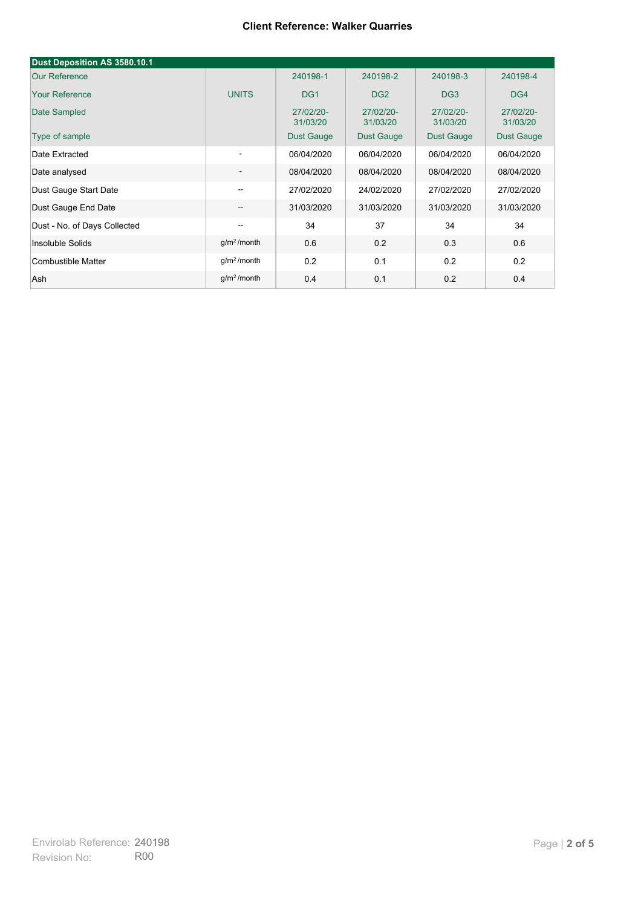| Dust Deposition AS 3580.10.1 |                          |                       |                       |                       |                       |
|------------------------------|--------------------------|-----------------------|-----------------------|-----------------------|-----------------------|
| <b>Our Reference</b>         |                          | 240198-1              | 240198-2              | 240198-3              | 240198-4              |
| <b>Your Reference</b>        | <b>UNITS</b>             | DG <sub>1</sub>       | DG <sub>2</sub>       | DG <sub>3</sub>       | DG4                   |
| Date Sampled                 |                          | 27/02/20-<br>31/03/20 | 27/02/20-<br>31/03/20 | 27/02/20-<br>31/03/20 | 27/02/20-<br>31/03/20 |
| Type of sample               |                          | <b>Dust Gauge</b>     | <b>Dust Gauge</b>     | <b>Dust Gauge</b>     | Dust Gauge            |
| Date Extracted               | $\overline{\phantom{a}}$ | 06/04/2020            | 06/04/2020            | 06/04/2020            | 06/04/2020            |
| Date analysed                | -                        | 08/04/2020            | 08/04/2020            | 08/04/2020            | 08/04/2020            |
| Dust Gauge Start Date        | --                       | 27/02/2020            | 24/02/2020            | 27/02/2020            | 27/02/2020            |
| Dust Gauge End Date          | $\overline{\phantom{a}}$ | 31/03/2020            | 31/03/2020            | 31/03/2020            | 31/03/2020            |
| Dust - No. of Days Collected | $\overline{\phantom{m}}$ | 34                    | 37                    | 34                    | 34                    |
| Insoluble Solids             | g/m <sup>2</sup> /month  | 0.6                   | 0.2                   | 0.3                   | 0.6                   |
| Combustible Matter           | g/m <sup>2</sup> /month  | 0.2                   | 0.1                   | 0.2                   | 0.2                   |
| Ash                          | g/m <sup>2</sup> /month  | 0.4                   | 0.1                   | 0.2                   | 0.4                   |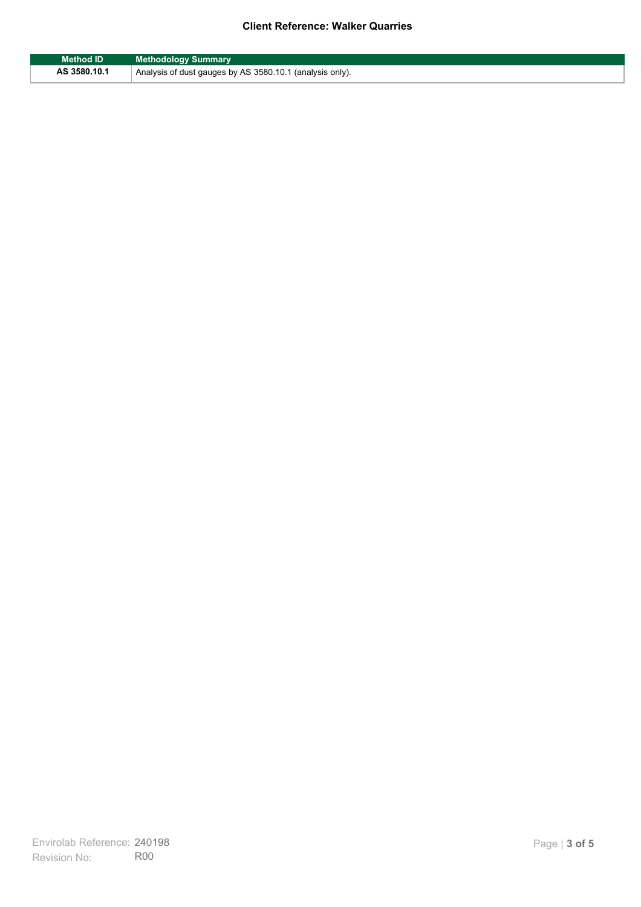| <b>Method ID</b> | <b>Methodology Summary</b>                               |
|------------------|----------------------------------------------------------|
| AS 3580.10.1     | Analysis of dust gauges by AS 3580.10.1 (analysis only). |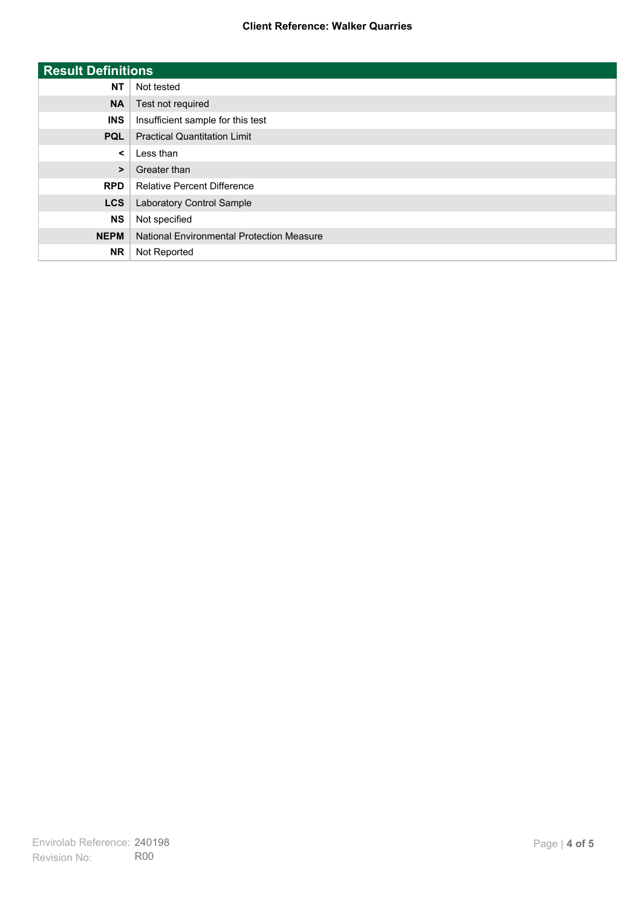| <b>Result Definitions</b> |                                           |
|---------------------------|-------------------------------------------|
| <b>NT</b>                 | Not tested                                |
| <b>NA</b>                 | Test not required                         |
| <b>INS</b>                | Insufficient sample for this test         |
| <b>PQL</b>                | <b>Practical Quantitation Limit</b>       |
| $\prec$                   | Less than                                 |
| $\geq$                    | Greater than                              |
| <b>RPD</b>                | <b>Relative Percent Difference</b>        |
| <b>LCS</b>                | Laboratory Control Sample                 |
| <b>NS</b>                 | Not specified                             |
| <b>NEPM</b>               | National Environmental Protection Measure |
| <b>NR</b>                 | Not Reported                              |